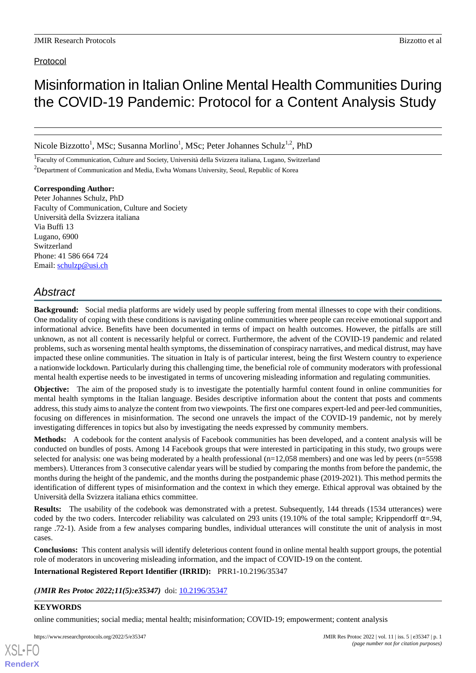## Protocol

# Misinformation in Italian Online Mental Health Communities During the COVID-19 Pandemic: Protocol for a Content Analysis Study

Nicole Bizzotto<sup>1</sup>, MSc; Susanna Morlino<sup>1</sup>, MSc; Peter Johannes Schulz<sup>1,2</sup>, PhD

<sup>1</sup>Faculty of Communication, Culture and Society, Università della Svizzera italiana, Lugano, Switzerland <sup>2</sup>Department of Communication and Media, Ewha Womans University, Seoul, Republic of Korea

**Corresponding Author:** Peter Johannes Schulz, PhD Faculty of Communication, Culture and Society Università della Svizzera italiana Via Buffi 13 Lugano, 6900 Switzerland Phone: 41 586 664 724 Email: [schulzp@usi.ch](mailto:schulzp@usi.ch)

## *Abstract*

**Background:** Social media platforms are widely used by people suffering from mental illnesses to cope with their conditions. One modality of coping with these conditions is navigating online communities where people can receive emotional support and informational advice. Benefits have been documented in terms of impact on health outcomes. However, the pitfalls are still unknown, as not all content is necessarily helpful or correct. Furthermore, the advent of the COVID-19 pandemic and related problems, such as worsening mental health symptoms, the dissemination of conspiracy narratives, and medical distrust, may have impacted these online communities. The situation in Italy is of particular interest, being the first Western country to experience a nationwide lockdown. Particularly during this challenging time, the beneficial role of community moderators with professional mental health expertise needs to be investigated in terms of uncovering misleading information and regulating communities.

**Objective:** The aim of the proposed study is to investigate the potentially harmful content found in online communities for mental health symptoms in the Italian language. Besides descriptive information about the content that posts and comments address, this study aims to analyze the content from two viewpoints. The first one compares expert-led and peer-led communities, focusing on differences in misinformation. The second one unravels the impact of the COVID-19 pandemic, not by merely investigating differences in topics but also by investigating the needs expressed by community members.

**Methods:** A codebook for the content analysis of Facebook communities has been developed, and a content analysis will be conducted on bundles of posts. Among 14 Facebook groups that were interested in participating in this study, two groups were selected for analysis: one was being moderated by a health professional (n=12,058 members) and one was led by peers (n=5598 members). Utterances from 3 consecutive calendar years will be studied by comparing the months from before the pandemic, the months during the height of the pandemic, and the months during the postpandemic phase (2019-2021). This method permits the identification of different types of misinformation and the context in which they emerge. Ethical approval was obtained by the Università della Svizzera italiana ethics committee.

**Results:** The usability of the codebook was demonstrated with a pretest. Subsequently, 144 threads (1534 utterances) were coded by the two coders. Intercoder reliability was calculated on 293 units (19.10% of the total sample; Krippendorff  $\alpha = .94$ , range .72-1). Aside from a few analyses comparing bundles, individual utterances will constitute the unit of analysis in most cases.

**Conclusions:** This content analysis will identify deleterious content found in online mental health support groups, the potential role of moderators in uncovering misleading information, and the impact of COVID-19 on the content.

**International Registered Report Identifier (IRRID):** PRR1-10.2196/35347

*(JMIR Res Protoc 2022;11(5):e35347)* doi:  $10.2196/35347$ 

## **KEYWORDS**

[XSL](http://www.w3.org/Style/XSL)•FO **[RenderX](http://www.renderx.com/)**

online communities; social media; mental health; misinformation; COVID-19; empowerment; content analysis

https://www.researchprotocols.org/2022/5/e35347 JMIR Res Protoc 2022 | vol. 11 | iss. 5 | e35347 | p. 1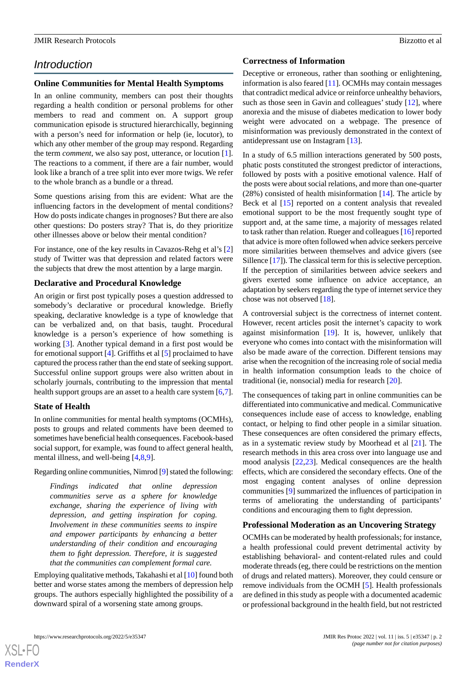## *Introduction*

#### **Online Communities for Mental Health Symptoms**

In an online community, members can post their thoughts regarding a health condition or personal problems for other members to read and comment on. A support group communication episode is structured hierarchically, beginning with a person's need for information or help (ie, locutor), to which any other member of the group may respond. Regarding the term *comment*, we also say post, utterance, or locution [[1\]](#page-7-0). The reactions to a comment, if there are a fair number, would look like a branch of a tree split into ever more twigs. We refer to the whole branch as a bundle or a thread.

Some questions arising from this are evident: What are the influencing factors in the development of mental conditions? How do posts indicate changes in prognoses? But there are also other questions: Do posters stray? That is, do they prioritize other illnesses above or below their mental condition?

For instance, one of the key results in Cavazos-Rehg et al's [\[2](#page-7-1)] study of Twitter was that depression and related factors were the subjects that drew the most attention by a large margin.

## **Declarative and Procedural Knowledge**

An origin or first post typically poses a question addressed to somebody's declarative or procedural knowledge. Briefly speaking, declarative knowledge is a type of knowledge that can be verbalized and, on that basis, taught. Procedural knowledge is a person's experience of how something is working [\[3](#page-7-2)]. Another typical demand in a first post would be for emotional support [\[4](#page-8-0)]. Griffiths et al [\[5](#page-8-1)] proclaimed to have captured the process rather than the end state of seeking support. Successful online support groups were also written about in scholarly journals, contributing to the impression that mental health support groups are an asset to a health care system [\[6](#page-8-2),[7\]](#page-8-3).

## **State of Health**

In online communities for mental health symptoms (OCMHs), posts to groups and related comments have been deemed to sometimes have beneficial health consequences. Facebook-based social support, for example, was found to affect general health, mental illness, and well-being [\[4](#page-8-0),[8](#page-8-4)[,9](#page-8-5)].

Regarding online communities, Nimrod [\[9](#page-8-5)] stated the following:

*Findings indicated that online depression communities serve as a sphere for knowledge exchange, sharing the experience of living with depression, and getting inspiration for coping. Involvement in these communities seems to inspire and empower participants by enhancing a better understanding of their condition and encouraging them to fight depression. Therefore, it is suggested that the communities can complement formal care.*

Employing qualitative methods, Takahashi et al [[10\]](#page-8-6) found both better and worse states among the members of depression help groups. The authors especially highlighted the possibility of a downward spiral of a worsening state among groups.

#### **Correctness of Information**

Deceptive or erroneous, rather than soothing or enlightening, information is also feared [\[11](#page-8-7)]. OCMHs may contain messages that contradict medical advice or reinforce unhealthy behaviors, such as those seen in Gavin and colleagues' study [[12\]](#page-8-8), where anorexia and the misuse of diabetes medication to lower body weight were advocated on a webpage. The presence of misinformation was previously demonstrated in the context of antidepressant use on Instagram [[13\]](#page-8-9).

In a study of 6.5 million interactions generated by 500 posts, phatic posts constituted the strongest predictor of interactions, followed by posts with a positive emotional valence. Half of the posts were about social relations, and more than one-quarter (28%) consisted of health misinformation [[14\]](#page-8-10). The article by Beck et al [[15\]](#page-8-11) reported on a content analysis that revealed emotional support to be the most frequently sought type of support and, at the same time, a majority of messages related to task rather than relation. Rueger and colleagues [\[16](#page-8-12)] reported that advice is more often followed when advice seekers perceive more similarities between themselves and advice givers (see Sillence [[17\]](#page-8-13)). The classical term for this is selective perception. If the perception of similarities between advice seekers and givers exerted some influence on advice acceptance, an adaptation by seekers regarding the type of internet service they chose was not observed [[18\]](#page-8-14).

A controversial subject is the correctness of internet content. However, recent articles posit the internet's capacity to work against misinformation [[19\]](#page-8-15). It is, however, unlikely that everyone who comes into contact with the misinformation will also be made aware of the correction. Different tensions may arise when the recognition of the increasing role of social media in health information consumption leads to the choice of traditional (ie, nonsocial) media for research [\[20](#page-8-16)].

The consequences of taking part in online communities can be differentiated into communicative and medical. Communicative consequences include ease of access to knowledge, enabling contact, or helping to find other people in a similar situation. These consequences are often considered the primary effects, as in a systematic review study by Moorhead et al [[21\]](#page-8-17). The research methods in this area cross over into language use and mood analysis [\[22](#page-8-18),[23\]](#page-8-19). Medical consequences are the health effects, which are considered the secondary effects. One of the most engaging content analyses of online depression communities [\[9](#page-8-5)] summarized the influences of participation in terms of ameliorating the understanding of participants' conditions and encouraging them to fight depression.

## **Professional Moderation as an Uncovering Strategy**

OCMHs can be moderated by health professionals; for instance, a health professional could prevent detrimental activity by establishing behavioral- and content-related rules and could moderate threads (eg, there could be restrictions on the mention of drugs and related matters). Moreover, they could censure or remove individuals from the OCMH [[5\]](#page-8-1). Health professionals are defined in this study as people with a documented academic or professional background in the health field, but not restricted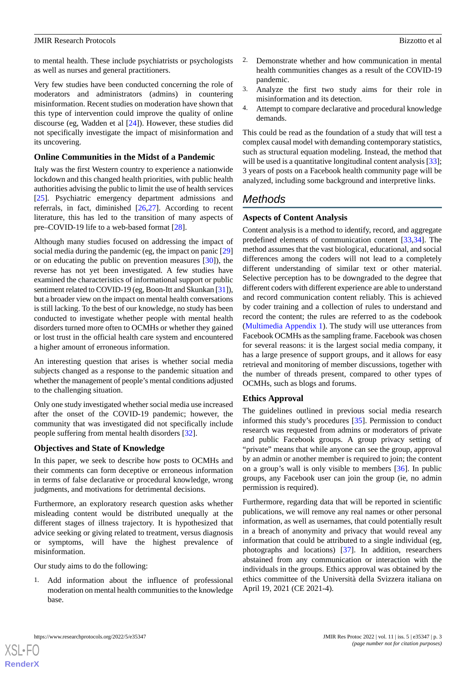to mental health. These include psychiatrists or psychologists as well as nurses and general practitioners.

Very few studies have been conducted concerning the role of moderators and administrators (admins) in countering misinformation. Recent studies on moderation have shown that this type of intervention could improve the quality of online discourse (eg, Wadden et al [\[24](#page-8-20)]). However, these studies did not specifically investigate the impact of misinformation and its uncovering.

## **Online Communities in the Midst of a Pandemic**

Italy was the first Western country to experience a nationwide lockdown and this changed health priorities, with public health authorities advising the public to limit the use of health services [[25\]](#page-8-21). Psychiatric emergency department admissions and referrals, in fact, diminished [[26](#page-8-22)[,27](#page-9-0)]. According to recent literature, this has led to the transition of many aspects of pre–COVID-19 life to a web-based format [\[28](#page-9-1)].

Although many studies focused on addressing the impact of social media during the pandemic (eg, the impact on panic [\[29](#page-9-2)] or on educating the public on prevention measures [[30\]](#page-9-3)), the reverse has not yet been investigated. A few studies have examined the characteristics of informational support or public sentiment related to COVID-19 (eg, Boon-Itt and Skunkan [[31\]](#page-9-4)), but a broader view on the impact on mental health conversations is still lacking. To the best of our knowledge, no study has been conducted to investigate whether people with mental health disorders turned more often to OCMHs or whether they gained or lost trust in the official health care system and encountered a higher amount of erroneous information.

An interesting question that arises is whether social media subjects changed as a response to the pandemic situation and whether the management of people's mental conditions adjusted to the challenging situation.

Only one study investigated whether social media use increased after the onset of the COVID-19 pandemic; however, the community that was investigated did not specifically include people suffering from mental health disorders [\[32](#page-9-5)].

## **Objectives and State of Knowledge**

In this paper, we seek to describe how posts to OCMHs and their comments can form deceptive or erroneous information in terms of false declarative or procedural knowledge, wrong judgments, and motivations for detrimental decisions.

Furthermore, an exploratory research question asks whether misleading content would be distributed unequally at the different stages of illness trajectory. It is hypothesized that advice seeking or giving related to treatment, versus diagnosis or symptoms, will have the highest prevalence of misinformation.

Our study aims to do the following:

1. Add information about the influence of professional moderation on mental health communities to the knowledge base.

- 2. Demonstrate whether and how communication in mental health communities changes as a result of the COVID-19 pandemic.
- 3. Analyze the first two study aims for their role in misinformation and its detection.
- 4. Attempt to compare declarative and procedural knowledge demands.

This could be read as the foundation of a study that will test a complex causal model with demanding contemporary statistics, such as structural equation modeling. Instead, the method that will be used is a quantitative longitudinal content analysis [[33\]](#page-9-6); 3 years of posts on a Facebook health community page will be analyzed, including some background and interpretive links.

## *Methods*

## **Aspects of Content Analysis**

Content analysis is a method to identify, record, and aggregate predefined elements of communication content [[33](#page-9-6)[,34](#page-9-7)]. The method assumes that the vast biological, educational, and social differences among the coders will not lead to a completely different understanding of similar text or other material. Selective perception has to be downgraded to the degree that different coders with different experience are able to understand and record communication content reliably. This is achieved by coder training and a collection of rules to understand and record the content; the rules are referred to as the codebook ([Multimedia Appendix 1\)](#page-7-3). The study will use utterances from Facebook OCMHs as the sampling frame. Facebook was chosen for several reasons: it is the largest social media company, it has a large presence of support groups, and it allows for easy retrieval and monitoring of member discussions, together with the number of threads present, compared to other types of OCMHs, such as blogs and forums.

## **Ethics Approval**

The guidelines outlined in previous social media research informed this study's procedures [\[35](#page-9-8)]. Permission to conduct research was requested from admins or moderators of private and public Facebook groups. A group privacy setting of "private" means that while anyone can see the group, approval by an admin or another member is required to join; the content on a group's wall is only visible to members [\[36](#page-9-9)]. In public groups, any Facebook user can join the group (ie, no admin permission is required).

Furthermore, regarding data that will be reported in scientific publications, we will remove any real names or other personal information, as well as usernames, that could potentially result in a breach of anonymity and privacy that would reveal any information that could be attributed to a single individual (eg, photographs and locations) [\[37](#page-9-10)]. In addition, researchers abstained from any communication or interaction with the individuals in the groups. Ethics approval was obtained by the ethics committee of the Università della Svizzera italiana on April 19, 2021 (CE 2021-4).

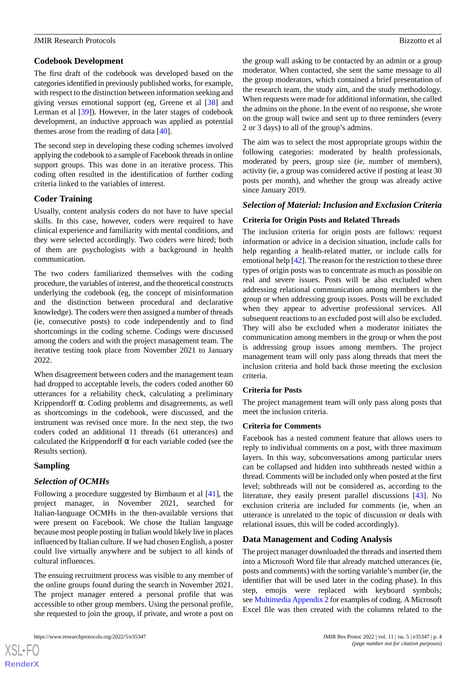The first draft of the codebook was developed based on the categories identified in previously published works, for example, with respect to the distinction between information seeking and giving versus emotional support (eg, Greene et al [[38\]](#page-9-11) and Lerman et al [[39\]](#page-9-12)). However, in the later stages of codebook development, an inductive approach was applied as potential themes arose from the reading of data [\[40](#page-9-13)].

The second step in developing these coding schemes involved applying the codebook to a sample of Facebook threads in online support groups. This was done in an iterative process. This coding often resulted in the identification of further coding criteria linked to the variables of interest.

## **Coder Training**

Usually, content analysis coders do not have to have special skills. In this case, however, coders were required to have clinical experience and familiarity with mental conditions, and they were selected accordingly. Two coders were hired; both of them are psychologists with a background in health communication.

The two coders familiarized themselves with the coding procedure, the variables of interest, and the theoretical constructs underlying the codebook (eg, the concept of misinformation and the distinction between procedural and declarative knowledge). The coders were then assigned a number of threads (ie, consecutive posts) to code independently and to find shortcomings in the coding scheme. Codings were discussed among the coders and with the project management team. The iterative testing took place from November 2021 to January 2022.

When disagreement between coders and the management team had dropped to acceptable levels, the coders coded another 60 utterances for a reliability check, calculating a preliminary Krippendorff  $\alpha$ . Coding problems and disagreements, as well as shortcomings in the codebook, were discussed, and the instrument was revised once more. In the next step, the two coders coded an additional 11 threads (61 utterances) and calculated the Krippendorff  $\alpha$  for each variable coded (see the Results section).

## **Sampling**

 $XS$  $\cdot$ FC **[RenderX](http://www.renderx.com/)**

## *Selection of OCMHs*

Following a procedure suggested by Birnbaum et al [\[41](#page-9-14)], the project manager, in November 2021, searched for Italian-language OCMHs in the then-available versions that were present on Facebook. We chose the Italian language because most people posting in Italian would likely live in places influenced by Italian culture. If we had chosen English, a poster could live virtually anywhere and be subject to all kinds of cultural influences.

The ensuing recruitment process was visible to any member of the online groups found during the search in November 2021. The project manager entered a personal profile that was accessible to other group members. Using the personal profile, she requested to join the group, if private, and wrote a post on

the group wall asking to be contacted by an admin or a group moderator. When contacted, she sent the same message to all the group moderators, which contained a brief presentation of the research team, the study aim, and the study methodology. When requests were made for additional information, she called the admins on the phone. In the event of no response, she wrote on the group wall twice and sent up to three reminders (every 2 or 3 days) to all of the group's admins.

The aim was to select the most appropriate groups within the following categories: moderated by health professionals, moderated by peers, group size (ie, number of members), activity (ie, a group was considered active if posting at least 30 posts per month), and whether the group was already active since January 2019.

#### *Selection of Material: Inclusion and Exclusion Criteria*

#### **Criteria for Origin Posts and Related Threads**

The inclusion criteria for origin posts are follows: request information or advice in a decision situation, include calls for help regarding a health-related matter, or include calls for emotional help [[42\]](#page-9-15). The reason for the restriction to these three types of origin posts was to concentrate as much as possible on real and severe issues. Posts will be also excluded when addressing relational communication among members in the group or when addressing group issues. Posts will be excluded when they appear to advertise professional services. All subsequent reactions to an excluded post will also be excluded. They will also be excluded when a moderator initiates the communication among members in the group or when the post is addressing group issues among members. The project management team will only pass along threads that meet the inclusion criteria and hold back those meeting the exclusion criteria.

#### **Criteria for Posts**

The project management team will only pass along posts that meet the inclusion criteria.

#### **Criteria for Comments**

Facebook has a nested comment feature that allows users to reply to individual comments on a post, with three maximum layers. In this way, subconversations among particular users can be collapsed and hidden into subthreads nested within a thread. Comments will be included only when posted at the first level; subthreads will not be considered as, according to the literature, they easily present parallel discussions [[43\]](#page-9-16). No exclusion criteria are included for comments (ie, when an utterance is unrelated to the topic of discussion or deals with relational issues, this will be coded accordingly).

#### **Data Management and Coding Analysis**

The project manager downloaded the threads and inserted them into a Microsoft Word file that already matched utterances (ie, posts and comments) with the sorting variable's number (ie, the identifier that will be used later in the coding phase). In this step, emojis were replaced with keyboard symbols; see [Multimedia Appendix 2](#page-7-4) for examples of coding. A Microsoft Excel file was then created with the columns related to the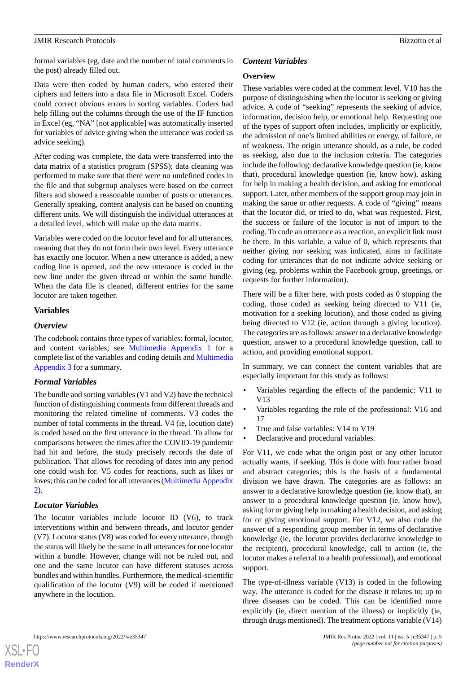#### JMIR Research Protocols and the search Protocols and the search of the search protocols and the search protocols and the search protocols and the search protocols and the search protocols and the search protocols and the s

formal variables (eg, date and the number of total comments in the post) already filled out.

Data were then coded by human coders, who entered their ciphers and letters into a data file in Microsoft Excel. Coders could correct obvious errors in sorting variables. Coders had help filling out the columns through the use of the IF function in Excel (eg, "NA" [not applicable] was automatically inserted for variables of advice giving when the utterance was coded as advice seeking).

After coding was complete, the data were transferred into the data matrix of a statistics program (SPSS); data cleaning was performed to make sure that there were no undefined codes in the file and that subgroup analyses were based on the correct filters and showed a reasonable number of posts or utterances. Generally speaking, content analysis can be based on counting different units. We will distinguish the individual utterances at a detailed level, which will make up the data matrix.

Variables were coded on the locutor level and for all utterances, meaning that they do not form their own level. Every utterance has exactly one locutor. When a new utterance is added, a new coding line is opened, and the new utterance is coded in the new line under the given thread or within the same bundle. When the data file is cleaned, different entries for the same locutor are taken together.

## **Variables**

#### *Overview*

The codebook contains three types of variables: formal, locutor, and content variables; see [Multimedia Appendix 1](#page-7-3) for a complete list of the variables and coding details and [Multimedia](#page-7-5) [Appendix 3](#page-7-5) for a summary.

#### *Formal Variables*

The bundle and sorting variables (V1 and V2) have the technical function of distinguishing comments from different threads and monitoring the related timeline of comments. V3 codes the number of total comments in the thread. V4 (ie, locution date) is coded based on the first utterance in the thread. To allow for comparisons between the times after the COVID-19 pandemic had hit and before, the study precisely records the date of publication. That allows for recoding of dates into any period one could wish for. V5 codes for reactions, such as likes or loves; this can be coded for all utterances [\(Multimedia Appendix](#page-7-4) [2\)](#page-7-4).

#### *Locutor Variables*

The locutor variables include locutor ID (V6), to track interventions within and between threads, and locutor gender (V7). Locutor status (V8) was coded for every utterance, though the status will likely be the same in all utterances for one locutor within a bundle. However, change will not be ruled out, and one and the same locutor can have different statuses across bundles and within bundles. Furthermore, the medical-scientific qualification of the locutor (V9) will be coded if mentioned anywhere in the locution.

## *Content Variables*

#### **Overview**

These variables were coded at the comment level. V10 has the purpose of distinguishing when the locutor is seeking or giving advice. A code of "seeking" represents the seeking of advice, information, decision help, or emotional help. Requesting one of the types of support often includes, implicitly or explicitly, the admission of one's limited abilities or energy, of failure, or of weakness. The origin utterance should, as a rule, be coded as seeking, also due to the inclusion criteria. The categories include the following: declarative knowledge question (ie, know that), procedural knowledge question (ie, know how), asking for help in making a health decision, and asking for emotional support. Later, other members of the support group may join in making the same or other requests. A code of "giving" means that the locutor did, or tried to do, what was requested. First, the success or failure of the locutor is not of import to the coding. To code an utterance as a reaction, an explicit link must be there. In this variable, a value of 0, which represents that neither giving nor seeking was indicated, aims to facilitate coding for utterances that do not indicate advice seeking or giving (eg, problems within the Facebook group, greetings, or requests for further information).

There will be a filter here, with posts coded as 0 stopping the coding, those coded as seeking being directed to V11 (ie, motivation for a seeking locution), and those coded as giving being directed to V12 (ie, action through a giving locution). The categories are as follows: answer to a declarative knowledge question, answer to a procedural knowledge question, call to action, and providing emotional support.

In summary, we can connect the content variables that are especially important for this study as follows:

- Variables regarding the effects of the pandemic: V11 to V13
- Variables regarding the role of the professional: V16 and 17
- True and false variables: V14 to V19
- Declarative and procedural variables.

For V11, we code what the origin post or any other locutor actually wants, if seeking. This is done with four rather broad and abstract categories; this is the basis of a fundamental division we have drawn. The categories are as follows: an answer to a declarative knowledge question (ie, know that), an answer to a procedural knowledge question (ie, know how), asking for or giving help in making a health decision, and asking for or giving emotional support. For V12, we also code the answer of a responding group member in terms of declarative knowledge (ie, the locutor provides declarative knowledge to the recipient), procedural knowledge, call to action (ie, the locutor makes a referral to a health professional), and emotional support.

The type-of-illness variable (V13) is coded in the following way. The utterance is coded for the disease it relates to; up to three diseases can be coded. This can be identified more explicitly (ie, direct mention of the illness) or implicitly (ie, through drugs mentioned). The treatment options variable (V14)

https://www.researchprotocols.org/2022/5/e35347 JMIR Res Protoc 2022 | vol. 11 | iss. 5 | e35347 | p. 5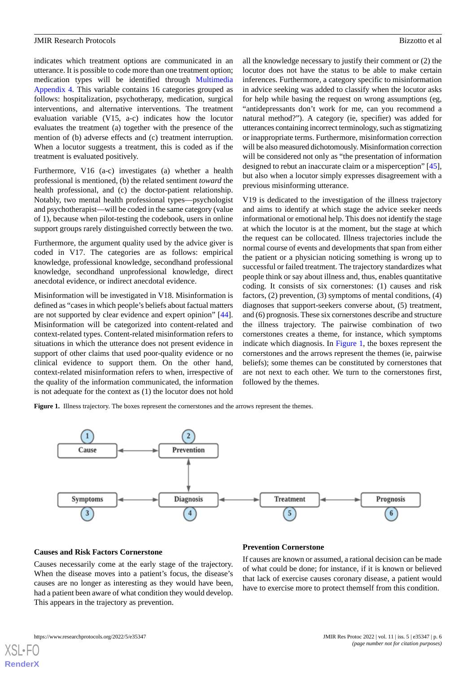indicates which treatment options are communicated in an utterance. It is possible to code more than one treatment option; medication types will be identified through [Multimedia](#page-7-6) [Appendix 4](#page-7-6)*.* This variable contains 16 categories grouped as follows: hospitalization, psychotherapy, medication, surgical interventions, and alternative interventions. The treatment evaluation variable (V15, a-c) indicates how the locutor evaluates the treatment (a) together with the presence of the mention of (b) adverse effects and (c) treatment interruption. When a locutor suggests a treatment, this is coded as if the treatment is evaluated positively.

Furthermore, V16 (a-c) investigates (a) whether a health professional is mentioned, (b) the related sentiment *toward* the health professional, and (c) the doctor-patient relationship. Notably, two mental health professional types—psychologist and psychotherapist—will be coded in the same category (value of 1), because when pilot-testing the codebook, users in online support groups rarely distinguished correctly between the two.

Furthermore, the argument quality used by the advice giver is coded in V17. The categories are as follows: empirical knowledge, professional knowledge, secondhand professional knowledge, secondhand unprofessional knowledge, direct anecdotal evidence, or indirect anecdotal evidence.

Misinformation will be investigated in V18. Misinformation is defined as "cases in which people's beliefs about factual matters are not supported by clear evidence and expert opinion" [[44\]](#page-9-17). Misinformation will be categorized into content-related and context-related types. Content-related misinformation refers to situations in which the utterance does not present evidence in support of other claims that used poor-quality evidence or no clinical evidence to support them. On the other hand, context-related misinformation refers to when, irrespective of the quality of the information communicated, the information is not adequate for the context as (1) the locutor does not hold

all the knowledge necessary to justify their comment or (2) the locutor does not have the status to be able to make certain inferences. Furthermore, a category specific to misinformation in advice seeking was added to classify when the locutor asks for help while basing the request on wrong assumptions (eg, "antidepressants don't work for me, can you recommend a natural method?"). A category (ie, specifier) was added for utterances containing incorrect terminology, such as stigmatizing or inappropriate terms. Furthermore, misinformation correction will be also measured dichotomously. Misinformation correction will be considered not only as "the presentation of information designed to rebut an inaccurate claim or a misperception" [[45\]](#page-9-18), but also when a locutor simply expresses disagreement with a previous misinforming utterance.

V19 is dedicated to the investigation of the illness trajectory and aims to identify at which stage the advice seeker needs informational or emotional help. This does not identify the stage at which the locutor is at the moment, but the stage at which the request can be collocated. Illness trajectories include the normal course of events and developments that span from either the patient or a physician noticing something is wrong up to successful or failed treatment. The trajectory standardizes what people think or say about illness and, thus, enables quantitative coding. It consists of six cornerstones: (1) causes and risk factors, (2) prevention, (3) symptoms of mental conditions, (4) diagnoses that support-seekers converse about, (5) treatment, and (6) prognosis. These six cornerstones describe and structure the illness trajectory. The pairwise combination of two cornerstones creates a theme, for instance, which symptoms indicate which diagnosis. In [Figure 1](#page-5-0), the boxes represent the cornerstones and the arrows represent the themes (ie, pairwise beliefs); some themes can be constituted by cornerstones that are not next to each other. We turn to the cornerstones first, followed by the themes.

<span id="page-5-0"></span>Figure 1. Illness trajectory. The boxes represent the cornerstones and the arrows represent the themes.



#### **Causes and Risk Factors Cornerstone**

Causes necessarily come at the early stage of the trajectory. When the disease moves into a patient's focus, the disease's causes are no longer as interesting as they would have been, had a patient been aware of what condition they would develop. This appears in the trajectory as prevention.

#### **Prevention Cornerstone**

If causes are known or assumed, a rational decision can be made of what could be done; for instance, if it is known or believed that lack of exercise causes coronary disease, a patient would have to exercise more to protect themself from this condition.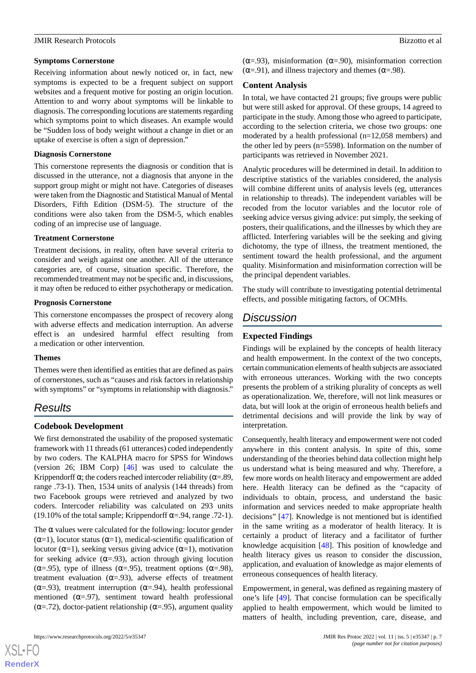#### **Symptoms Cornerstone**

Receiving information about newly noticed or, in fact, new symptoms is expected to be a frequent subject on support websites and a frequent motive for posting an origin locution. Attention to and worry about symptoms will be linkable to diagnosis. The corresponding locutions are statements regarding which symptoms point to which diseases. An example would be "Sudden loss of body weight without a change in diet or an uptake of exercise is often a sign of depression."

## **Diagnosis Cornerstone**

This cornerstone represents the diagnosis or condition that is discussed in the utterance, not a diagnosis that anyone in the support group might or might not have. Categories of diseases were taken from the Diagnostic and Statistical Manual of Mental Disorders, Fifth Edition (DSM-5). The structure of the conditions were also taken from the DSM-5, which enables coding of an imprecise use of language.

## **Treatment Cornerstone**

Treatment decisions, in reality, often have several criteria to consider and weigh against one another. All of the utterance categories are, of course, situation specific. Therefore, the recommended treatment may not be specific and, in discussions, it may often be reduced to either psychotherapy or medication.

## **Prognosis Cornerstone**

This cornerstone encompasses the prospect of recovery along with adverse effects and medication interruption. An adverse effect is an undesired harmful effect resulting from a medication or other intervention.

## **Themes**

Themes were then identified as entities that are defined as pairs of cornerstones, such as "causes and risk factors in relationship with symptoms" or "symptoms in relationship with diagnosis."

## *Results*

## **Codebook Development**

We first demonstrated the usability of the proposed systematic framework with 11 threads (61 utterances) coded independently by two coders. The KALPHA macro for SPSS for Windows (version 26; IBM Corp) [\[46](#page-9-19)] was used to calculate the Krippendorff  $\alpha$ ; the coders reached intercoder reliability ( $\alpha$ =.89, range .73-1). Then, 1534 units of analysis (144 threads) from two Facebook groups were retrieved and analyzed by two coders. Intercoder reliability was calculated on 293 units (19.10% of the total sample; Krippendorff  $\alpha$ =.94, range .72-1).

The  $\alpha$  values were calculated for the following: locutor gender  $(\alpha=1)$ , locutor status  $(\alpha=1)$ , medical-scientific qualification of locutor ( $\alpha$ =1), seeking versus giving advice ( $\alpha$ =1), motivation for seeking advice  $(\alpha = .93)$ , action through giving locution ( $\alpha$ =.95), type of illness ( $\alpha$ =.95), treatment options ( $\alpha$ =.98), treatment evaluation ( $\alpha$ =.93), adverse effects of treatment ( $\alpha$ =.93), treatment interruption ( $\alpha$ =.94), health professional mentioned  $(\alpha=0.97)$ , sentiment toward health professional ( $\alpha$ =.72), doctor-patient relationship ( $\alpha$ =.95), argument quality

( $\alpha$ =.93), misinformation ( $\alpha$ =.90), misinformation correction  $(\alpha=91)$ , and illness trajectory and themes ( $\alpha=98$ ).

## **Content Analysis**

In total, we have contacted 21 groups; five groups were public but were still asked for approval. Of these groups, 14 agreed to participate in the study. Among those who agreed to participate, according to the selection criteria, we chose two groups: one moderated by a health professional (n=12,058 members) and the other led by peers (n=5598). Information on the number of participants was retrieved in November 2021.

Analytic procedures will be determined in detail. In addition to descriptive statistics of the variables considered, the analysis will combine different units of analysis levels (eg, utterances in relationship to threads). The independent variables will be recoded from the locutor variables and the locutor role of seeking advice versus giving advice: put simply, the seeking of posters, their qualifications, and the illnesses by which they are afflicted. Interfering variables will be the seeking and giving dichotomy, the type of illness, the treatment mentioned, the sentiment toward the health professional, and the argument quality. Misinformation and misinformation correction will be the principal dependent variables.

The study will contribute to investigating potential detrimental effects, and possible mitigating factors, of OCMHs.

## *Discussion*

## **Expected Findings**

Findings will be explained by the concepts of health literacy and health empowerment. In the context of the two concepts, certain communication elements of health subjects are associated with erroneous utterances. Working with the two concepts presents the problem of a striking plurality of concepts as well as operationalization. We, therefore, will not link measures or data, but will look at the origin of erroneous health beliefs and detrimental decisions and will provide the link by way of interpretation.

Consequently, health literacy and empowerment were not coded anywhere in this content analysis. In spite of this, some understanding of the theories behind data collection might help us understand what is being measured and why. Therefore, a few more words on health literacy and empowerment are added here. Health literacy can be defined as the "capacity of individuals to obtain, process, and understand the basic information and services needed to make appropriate health decisions" [[47\]](#page-9-20). Knowledge is not mentioned but is identified in the same writing as a moderator of health literacy. It is certainly a product of literacy and a facilitator of further knowledge acquisition [[48\]](#page-9-21). This position of knowledge and health literacy gives us reason to consider the discussion, application, and evaluation of knowledge as major elements of erroneous consequences of health literacy.

Empowerment, in general, was defined as regaining mastery of one's life [\[49](#page-9-22)]. That concise formulation can be specifically applied to health empowerment, which would be limited to matters of health, including prevention, care, disease, and

 $XS$  $\cdot$ FC **[RenderX](http://www.renderx.com/)**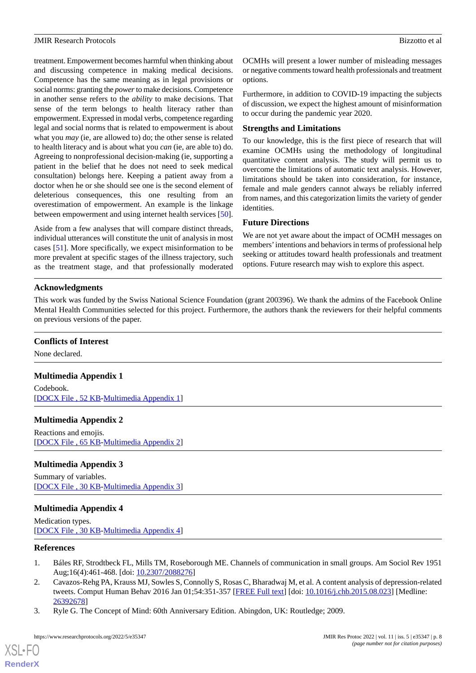treatment. Empowerment becomes harmful when thinking about and discussing competence in making medical decisions. Competence has the same meaning as in legal provisions or social norms: granting the *power*to make decisions. Competence in another sense refers to the *ability* to make decisions. That sense of the term belongs to health literacy rather than empowerment. Expressed in modal verbs, competence regarding legal and social norms that is related to empowerment is about what you *may* (ie, are allowed to) do; the other sense is related to health literacy and is about what you *can* (ie, are able to) do. Agreeing to nonprofessional decision-making (ie, supporting a patient in the belief that he does not need to seek medical consultation) belongs here. Keeping a patient away from a doctor when he or she should see one is the second element of deleterious consequences, this one resulting from an overestimation of empowerment. An example is the linkage between empowerment and using internet health services [[50\]](#page-9-23).

Aside from a few analyses that will compare distinct threads, individual utterances will constitute the unit of analysis in most cases [[51\]](#page-9-24). More specifically, we expect misinformation to be more prevalent at specific stages of the illness trajectory, such as the treatment stage, and that professionally moderated

OCMHs will present a lower number of misleading messages or negative comments toward health professionals and treatment options.

Furthermore, in addition to COVID-19 impacting the subjects of discussion, we expect the highest amount of misinformation to occur during the pandemic year 2020.

## **Strengths and Limitations**

To our knowledge, this is the first piece of research that will examine OCMHs using the methodology of longitudinal quantitative content analysis. The study will permit us to overcome the limitations of automatic text analysis. However, limitations should be taken into consideration, for instance, female and male genders cannot always be reliably inferred from names, and this categorization limits the variety of gender identities.

## **Future Directions**

We are not yet aware about the impact of OCMH messages on members'intentions and behaviors in terms of professional help seeking or attitudes toward health professionals and treatment options. Future research may wish to explore this aspect.

## **Acknowledgments**

This work was funded by the Swiss National Science Foundation (grant 200396). We thank the admins of the Facebook Online Mental Health Communities selected for this project. Furthermore, the authors thank the reviewers for their helpful comments on previous versions of the paper.

## <span id="page-7-3"></span>**Conflicts of Interest**

None declared.

## <span id="page-7-4"></span>**Multimedia Appendix 1**

Codebook. [[DOCX File , 52 KB](https://jmir.org/api/download?alt_name=resprot_v11i5e35347_app1.docx&filename=fc92279512ec9dcb56901a5ee41ce039.docx)-[Multimedia Appendix 1\]](https://jmir.org/api/download?alt_name=resprot_v11i5e35347_app1.docx&filename=fc92279512ec9dcb56901a5ee41ce039.docx)

## <span id="page-7-5"></span>**Multimedia Appendix 2**

Reactions and emojis. [[DOCX File , 65 KB](https://jmir.org/api/download?alt_name=resprot_v11i5e35347_app2.docx&filename=046ad59fee71ff5a76d93734d074cb01.docx)-[Multimedia Appendix 2\]](https://jmir.org/api/download?alt_name=resprot_v11i5e35347_app2.docx&filename=046ad59fee71ff5a76d93734d074cb01.docx)

## <span id="page-7-6"></span>**Multimedia Appendix 3**

Summary of variables. [[DOCX File , 30 KB](https://jmir.org/api/download?alt_name=resprot_v11i5e35347_app3.docx&filename=aa1bdb1adf1dc1c0ce884ef76b5de468.docx)-[Multimedia Appendix 3\]](https://jmir.org/api/download?alt_name=resprot_v11i5e35347_app3.docx&filename=aa1bdb1adf1dc1c0ce884ef76b5de468.docx)

## <span id="page-7-0"></span>**Multimedia Appendix 4**

<span id="page-7-1"></span>Medication types. [[DOCX File , 30 KB](https://jmir.org/api/download?alt_name=resprot_v11i5e35347_app4.docx&filename=2e600308629789a62fb0a90e05b14d64.docx)-[Multimedia Appendix 4\]](https://jmir.org/api/download?alt_name=resprot_v11i5e35347_app4.docx&filename=2e600308629789a62fb0a90e05b14d64.docx)

## <span id="page-7-2"></span>**References**

- 1. Báles RF, Strodtbeck FL, Mills TM, Roseborough ME. Channels of communication in small groups. Am Sociol Rev 1951 Aug;16(4):461-468. [doi: [10.2307/2088276\]](http://dx.doi.org/10.2307/2088276)
- 2. Cavazos-Rehg PA, Krauss MJ, Sowles S, Connolly S, Rosas C, Bharadwaj M, et al. A content analysis of depression-related tweets. Comput Human Behav 2016 Jan 01;54:351-357 [[FREE Full text](http://europepmc.org/abstract/MED/26392678)] [doi: [10.1016/j.chb.2015.08.023](http://dx.doi.org/10.1016/j.chb.2015.08.023)] [Medline: [26392678](http://www.ncbi.nlm.nih.gov/entrez/query.fcgi?cmd=Retrieve&db=PubMed&list_uids=26392678&dopt=Abstract)]
- 3. Ryle G. The Concept of Mind: 60th Anniversary Edition. Abingdon, UK: Routledge; 2009.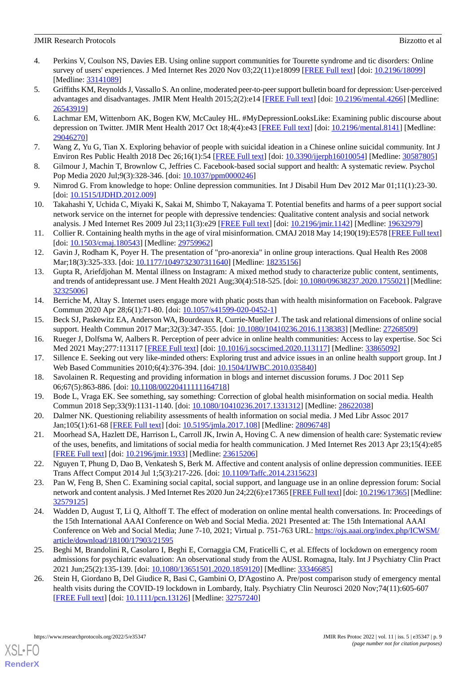- <span id="page-8-0"></span>4. Perkins V, Coulson NS, Davies EB. Using online support communities for Tourette syndrome and tic disorders: Online survey of users' experiences. J Med Internet Res 2020 Nov 03;22(11):e18099 [[FREE Full text](https://www.jmir.org/2020/11/e18099/)] [doi: [10.2196/18099\]](http://dx.doi.org/10.2196/18099) [Medline: [33141089](http://www.ncbi.nlm.nih.gov/entrez/query.fcgi?cmd=Retrieve&db=PubMed&list_uids=33141089&dopt=Abstract)]
- <span id="page-8-1"></span>5. Griffiths KM, Reynolds J, Vassallo S. An online, moderated peer-to-peer support bulletin board for depression: User-perceived advantages and disadvantages. JMIR Ment Health 2015;2(2):e14 [[FREE Full text\]](https://mental.jmir.org/2015/2/e14/) [doi: [10.2196/mental.4266](http://dx.doi.org/10.2196/mental.4266)] [Medline: [26543919](http://www.ncbi.nlm.nih.gov/entrez/query.fcgi?cmd=Retrieve&db=PubMed&list_uids=26543919&dopt=Abstract)]
- <span id="page-8-2"></span>6. Lachmar EM, Wittenborn AK, Bogen KW, McCauley HL. #MyDepressionLooksLike: Examining public discourse about depression on Twitter. JMIR Ment Health 2017 Oct 18;4(4):e43 [\[FREE Full text\]](https://mental.jmir.org/2017/4/e43/) [doi: [10.2196/mental.8141](http://dx.doi.org/10.2196/mental.8141)] [Medline: [29046270](http://www.ncbi.nlm.nih.gov/entrez/query.fcgi?cmd=Retrieve&db=PubMed&list_uids=29046270&dopt=Abstract)]
- <span id="page-8-4"></span><span id="page-8-3"></span>7. Wang Z, Yu G, Tian X. Exploring behavior of people with suicidal ideation in a Chinese online suicidal community. Int J Environ Res Public Health 2018 Dec 26;16(1):54 [[FREE Full text](https://www.mdpi.com/resolver?pii=ijerph16010054)] [doi: [10.3390/ijerph16010054\]](http://dx.doi.org/10.3390/ijerph16010054) [Medline: [30587805\]](http://www.ncbi.nlm.nih.gov/entrez/query.fcgi?cmd=Retrieve&db=PubMed&list_uids=30587805&dopt=Abstract)
- <span id="page-8-5"></span>8. Gilmour J, Machin T, Brownlow C, Jeffries C. Facebook-based social support and health: A systematic review. Psychol Pop Media 2020 Jul;9(3):328-346. [doi: [10.1037/ppm0000246\]](http://dx.doi.org/10.1037/ppm0000246)
- <span id="page-8-6"></span>9. Nimrod G. From knowledge to hope: Online depression communities. Int J Disabil Hum Dev 2012 Mar 01;11(1):23-30. [doi: [10.1515/IJDHD.2012.009](http://dx.doi.org/10.1515/IJDHD.2012.009)]
- <span id="page-8-7"></span>10. Takahashi Y, Uchida C, Miyaki K, Sakai M, Shimbo T, Nakayama T. Potential benefits and harms of a peer support social network service on the internet for people with depressive tendencies: Qualitative content analysis and social network analysis. J Med Internet Res 2009 Jul 23;11(3):e29 [\[FREE Full text\]](https://www.jmir.org/2009/3/e29/) [doi: [10.2196/jmir.1142\]](http://dx.doi.org/10.2196/jmir.1142) [Medline: [19632979\]](http://www.ncbi.nlm.nih.gov/entrez/query.fcgi?cmd=Retrieve&db=PubMed&list_uids=19632979&dopt=Abstract)
- <span id="page-8-8"></span>11. Collier R. Containing health myths in the age of viral misinformation. CMAJ 2018 May 14;190(19):E578 [[FREE Full text](http://www.cmaj.ca/cgi/pmidlookup?view=long&pmid=29759962)] [doi: [10.1503/cmaj.180543](http://dx.doi.org/10.1503/cmaj.180543)] [Medline: [29759962\]](http://www.ncbi.nlm.nih.gov/entrez/query.fcgi?cmd=Retrieve&db=PubMed&list_uids=29759962&dopt=Abstract)
- <span id="page-8-9"></span>12. Gavin J, Rodham K, Poyer H. The presentation of "pro-anorexia" in online group interactions. Qual Health Res 2008 Mar;18(3):325-333. [doi: [10.1177/1049732307311640](http://dx.doi.org/10.1177/1049732307311640)] [Medline: [18235156](http://www.ncbi.nlm.nih.gov/entrez/query.fcgi?cmd=Retrieve&db=PubMed&list_uids=18235156&dopt=Abstract)]
- <span id="page-8-10"></span>13. Gupta R, Ariefdjohan M. Mental illness on Instagram: A mixed method study to characterize public content, sentiments, and trends of antidepressant use. J Ment Health 2021 Aug;30(4):518-525. [doi: [10.1080/09638237.2020.1755021\]](http://dx.doi.org/10.1080/09638237.2020.1755021) [Medline: [32325006](http://www.ncbi.nlm.nih.gov/entrez/query.fcgi?cmd=Retrieve&db=PubMed&list_uids=32325006&dopt=Abstract)]
- <span id="page-8-12"></span><span id="page-8-11"></span>14. Berriche M, Altay S. Internet users engage more with phatic posts than with health misinformation on Facebook. Palgrave Commun 2020 Apr 28;6(1):71-80. [doi: [10.1057/s41599-020-0452-1\]](http://dx.doi.org/10.1057/s41599-020-0452-1)
- <span id="page-8-13"></span>15. Beck SJ, Paskewitz EA, Anderson WA, Bourdeaux R, Currie-Mueller J. The task and relational dimensions of online social support. Health Commun 2017 Mar;32(3):347-355. [doi: [10.1080/10410236.2016.1138383\]](http://dx.doi.org/10.1080/10410236.2016.1138383) [Medline: [27268509\]](http://www.ncbi.nlm.nih.gov/entrez/query.fcgi?cmd=Retrieve&db=PubMed&list_uids=27268509&dopt=Abstract)
- <span id="page-8-14"></span>16. Rueger J, Dolfsma W, Aalbers R. Perception of peer advice in online health communities: Access to lay expertise. Soc Sci Med 2021 May; 277:113117 [[FREE Full text\]](https://linkinghub.elsevier.com/retrieve/pii/S0277-9536(20)30336-1) [doi: 10.1016/j.socscimed. 2020.113117] [Medline: [33865092](http://www.ncbi.nlm.nih.gov/entrez/query.fcgi?cmd=Retrieve&db=PubMed&list_uids=33865092&dopt=Abstract)]
- <span id="page-8-15"></span>17. Sillence E. Seeking out very like-minded others: Exploring trust and advice issues in an online health support group. Int J Web Based Communities 2010;6(4):376-394. [doi: [10.1504/IJWBC.2010.035840\]](http://dx.doi.org/10.1504/IJWBC.2010.035840)
- <span id="page-8-16"></span>18. Savolainen R. Requesting and providing information in blogs and internet discussion forums. J Doc 2011 Sep 06;67(5):863-886. [doi: [10.1108/00220411111164718\]](http://dx.doi.org/10.1108/00220411111164718)
- <span id="page-8-17"></span>19. Bode L, Vraga EK. See something, say something: Correction of global health misinformation on social media. Health Commun 2018 Sep;33(9):1131-1140. [doi: [10.1080/10410236.2017.1331312\]](http://dx.doi.org/10.1080/10410236.2017.1331312) [Medline: [28622038\]](http://www.ncbi.nlm.nih.gov/entrez/query.fcgi?cmd=Retrieve&db=PubMed&list_uids=28622038&dopt=Abstract)
- <span id="page-8-18"></span>20. Dalmer NK. Questioning reliability assessments of health information on social media. J Med Libr Assoc 2017 Jan;105(1):61-68 [\[FREE Full text\]](http://europepmc.org/abstract/MED/28096748) [doi: [10.5195/jmla.2017.108\]](http://dx.doi.org/10.5195/jmla.2017.108) [Medline: [28096748\]](http://www.ncbi.nlm.nih.gov/entrez/query.fcgi?cmd=Retrieve&db=PubMed&list_uids=28096748&dopt=Abstract)
- <span id="page-8-19"></span>21. Moorhead SA, Hazlett DE, Harrison L, Carroll JK, Irwin A, Hoving C. A new dimension of health care: Systematic review of the uses, benefits, and limitations of social media for health communication. J Med Internet Res 2013 Apr 23;15(4):e85 [[FREE Full text](https://www.jmir.org/2013/4/e85/)] [doi: [10.2196/jmir.1933](http://dx.doi.org/10.2196/jmir.1933)] [Medline: [23615206](http://www.ncbi.nlm.nih.gov/entrez/query.fcgi?cmd=Retrieve&db=PubMed&list_uids=23615206&dopt=Abstract)]
- <span id="page-8-20"></span>22. Nguyen T, Phung D, Dao B, Venkatesh S, Berk M. Affective and content analysis of online depression communities. IEEE Trans Affect Comput 2014 Jul 1;5(3):217-226. [doi: [10.1109/Taffc.2014.2315623\]](http://dx.doi.org/10.1109/Taffc.2014.2315623)
- <span id="page-8-21"></span>23. Pan W, Feng B, Shen C. Examining social capital, social support, and language use in an online depression forum: Social network and content analysis. J Med Internet Res 2020 Jun 24;22(6):e17365 [[FREE Full text](https://www.jmir.org/2020/6/e17365/)] [doi: [10.2196/17365\]](http://dx.doi.org/10.2196/17365) [Medline: [32579125](http://www.ncbi.nlm.nih.gov/entrez/query.fcgi?cmd=Retrieve&db=PubMed&list_uids=32579125&dopt=Abstract)]
- <span id="page-8-22"></span>24. Wadden D, August T, Li Q, Althoff T. The effect of moderation on online mental health conversations. In: Proceedings of the 15th International AAAI Conference on Web and Social Media. 2021 Presented at: The 15th International AAAI Conference on Web and Social Media; June 7-10, 2021; Virtual p. 751-763 URL: [https://ojs.aaai.org/index.php/ICWSM/](https://ojs.aaai.org/index.php/ICWSM/article/download/18100/17903/21595) [article/download/18100/17903/21595](https://ojs.aaai.org/index.php/ICWSM/article/download/18100/17903/21595)
- 25. Beghi M, Brandolini R, Casolaro I, Beghi E, Cornaggia CM, Fraticelli C, et al. Effects of lockdown on emergency room admissions for psychiatric evaluation: An observational study from the AUSL Romagna, Italy. Int J Psychiatry Clin Pract 2021 Jun;25(2):135-139. [doi: [10.1080/13651501.2020.1859120](http://dx.doi.org/10.1080/13651501.2020.1859120)] [Medline: [33346685\]](http://www.ncbi.nlm.nih.gov/entrez/query.fcgi?cmd=Retrieve&db=PubMed&list_uids=33346685&dopt=Abstract)
- 26. Stein H, Giordano B, Del Giudice R, Basi C, Gambini O, D'Agostino A. Pre/post comparison study of emergency mental health visits during the COVID-19 lockdown in Lombardy, Italy. Psychiatry Clin Neurosci 2020 Nov;74(11):605-607 [[FREE Full text](https://doi.org/10.1111/pcn.13126)] [doi: [10.1111/pcn.13126\]](http://dx.doi.org/10.1111/pcn.13126) [Medline: [32757240](http://www.ncbi.nlm.nih.gov/entrez/query.fcgi?cmd=Retrieve&db=PubMed&list_uids=32757240&dopt=Abstract)]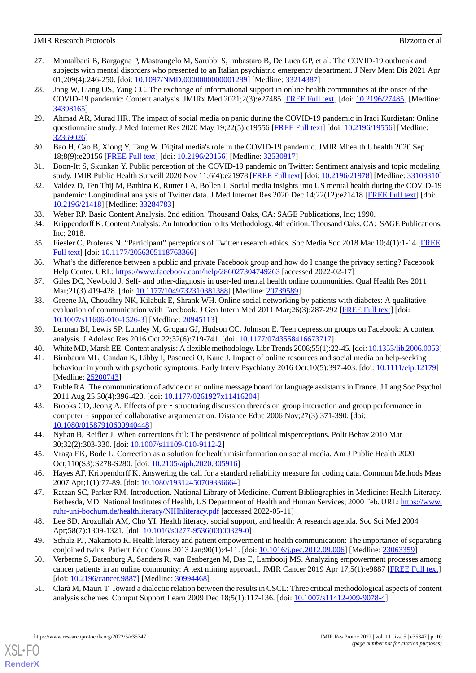- <span id="page-9-0"></span>27. Montalbani B, Bargagna P, Mastrangelo M, Sarubbi S, Imbastaro B, De Luca GP, et al. The COVID-19 outbreak and subjects with mental disorders who presented to an Italian psychiatric emergency department. J Nerv Ment Dis 2021 Apr 01;209(4):246-250. [doi: [10.1097/NMD.0000000000001289\]](http://dx.doi.org/10.1097/NMD.0000000000001289) [Medline: [33214387](http://www.ncbi.nlm.nih.gov/entrez/query.fcgi?cmd=Retrieve&db=PubMed&list_uids=33214387&dopt=Abstract)]
- <span id="page-9-1"></span>28. Jong W, Liang OS, Yang CC. The exchange of informational support in online health communities at the onset of the COVID-19 pandemic: Content analysis. JMIRx Med 2021;2(3):e27485 [[FREE Full text](https://xmed.jmir.org/2021/3/e27485/)] [doi: [10.2196/27485\]](http://dx.doi.org/10.2196/27485) [Medline: [34398165](http://www.ncbi.nlm.nih.gov/entrez/query.fcgi?cmd=Retrieve&db=PubMed&list_uids=34398165&dopt=Abstract)]
- <span id="page-9-2"></span>29. Ahmad AR, Murad HR. The impact of social media on panic during the COVID-19 pandemic in Iraqi Kurdistan: Online questionnaire study. J Med Internet Res 2020 May 19;22(5):e19556 [\[FREE Full text\]](https://www.jmir.org/2020/5/e19556/) [doi: [10.2196/19556\]](http://dx.doi.org/10.2196/19556) [Medline: [32369026](http://www.ncbi.nlm.nih.gov/entrez/query.fcgi?cmd=Retrieve&db=PubMed&list_uids=32369026&dopt=Abstract)]
- <span id="page-9-4"></span><span id="page-9-3"></span>30. Bao H, Cao B, Xiong Y, Tang W. Digital media's role in the COVID-19 pandemic. JMIR Mhealth Uhealth 2020 Sep 18;8(9):e20156 [\[FREE Full text](https://mhealth.jmir.org/2020/9/e20156/)] [doi: [10.2196/20156\]](http://dx.doi.org/10.2196/20156) [Medline: [32530817\]](http://www.ncbi.nlm.nih.gov/entrez/query.fcgi?cmd=Retrieve&db=PubMed&list_uids=32530817&dopt=Abstract)
- <span id="page-9-5"></span>31. Boon-Itt S, Skunkan Y. Public perception of the COVID-19 pandemic on Twitter: Sentiment analysis and topic modeling study. JMIR Public Health Surveill 2020 Nov 11;6(4):e21978 [[FREE Full text\]](https://publichealth.jmir.org/2020/4/e21978/) [doi: [10.2196/21978](http://dx.doi.org/10.2196/21978)] [Medline: [33108310](http://www.ncbi.nlm.nih.gov/entrez/query.fcgi?cmd=Retrieve&db=PubMed&list_uids=33108310&dopt=Abstract)]
- <span id="page-9-6"></span>32. Valdez D, Ten Thij M, Bathina K, Rutter LA, Bollen J. Social media insights into US mental health during the COVID-19 pandemic: Longitudinal analysis of Twitter data. J Med Internet Res 2020 Dec 14;22(12):e21418 [\[FREE Full text](https://www.jmir.org/2020/12/e21418/)] [doi: [10.2196/21418\]](http://dx.doi.org/10.2196/21418) [Medline: [33284783\]](http://www.ncbi.nlm.nih.gov/entrez/query.fcgi?cmd=Retrieve&db=PubMed&list_uids=33284783&dopt=Abstract)
- <span id="page-9-7"></span>33. Weber RP. Basic Content Analysis. 2nd edition. Thousand Oaks, CA: SAGE Publications, Inc; 1990.
- <span id="page-9-8"></span>34. Krippendorff K. Content Analysis: An Introduction to Its Methodology. 4th edition. Thousand Oaks, CA: SAGE Publications, Inc; 2018.
- <span id="page-9-9"></span>35. Fiesler C, Proferes N. "Participant" perceptions of Twitter research ethics. Soc Media Soc 2018 Mar 10;4(1):1-14 [\[FREE](https://journals.sagepub.com/doi/pdf/10.1177/2056305118763366) [Full text\]](https://journals.sagepub.com/doi/pdf/10.1177/2056305118763366) [doi: [10.1177/2056305118763366](http://dx.doi.org/10.1177/2056305118763366)]
- <span id="page-9-11"></span><span id="page-9-10"></span>36. What's the difference between a public and private Facebook group and how do I change the privacy setting? Facebook Help Center. URL: <https://www.facebook.com/help/286027304749263> [accessed 2022-02-17]
- 37. Giles DC, Newbold J. Self- and other-diagnosis in user-led mental health online communities. Qual Health Res 2011 Mar; 21(3): 419-428. [doi: [10.1177/1049732310381388](http://dx.doi.org/10.1177/1049732310381388)] [Medline: [20739589](http://www.ncbi.nlm.nih.gov/entrez/query.fcgi?cmd=Retrieve&db=PubMed&list_uids=20739589&dopt=Abstract)]
- <span id="page-9-13"></span><span id="page-9-12"></span>38. Greene JA, Choudhry NK, Kilabuk E, Shrank WH. Online social networking by patients with diabetes: A qualitative evaluation of communication with Facebook. J Gen Intern Med 2011 Mar;26(3):287-292 [\[FREE Full text](http://europepmc.org/abstract/MED/20945113)] [doi: [10.1007/s11606-010-1526-3\]](http://dx.doi.org/10.1007/s11606-010-1526-3) [Medline: [20945113](http://www.ncbi.nlm.nih.gov/entrez/query.fcgi?cmd=Retrieve&db=PubMed&list_uids=20945113&dopt=Abstract)]
- <span id="page-9-14"></span>39. Lerman BI, Lewis SP, Lumley M, Grogan GJ, Hudson CC, Johnson E. Teen depression groups on Facebook: A content analysis. J Adolesc Res 2016 Oct 22;32(6):719-741. [doi: [10.1177/0743558416673717\]](http://dx.doi.org/10.1177/0743558416673717)
- <span id="page-9-15"></span>40. White MD, Marsh EE. Content analysis: A flexible methodology. Libr Trends 2006;55(1):22-45. [doi: [10.1353/lib.2006.0053\]](http://dx.doi.org/10.1353/lib.2006.0053)
- <span id="page-9-16"></span>41. Birnbaum ML, Candan K, Libby I, Pascucci O, Kane J. Impact of online resources and social media on help-seeking behaviour in youth with psychotic symptoms. Early Interv Psychiatry 2016 Oct;10(5):397-403. [doi: [10.1111/eip.12179\]](http://dx.doi.org/10.1111/eip.12179) [Medline: [25200743](http://www.ncbi.nlm.nih.gov/entrez/query.fcgi?cmd=Retrieve&db=PubMed&list_uids=25200743&dopt=Abstract)]
- <span id="page-9-17"></span>42. Ruble RA. The communication of advice on an online message board for language assistants in France. J Lang Soc Psychol 2011 Aug 25;30(4):396-420. [doi: [10.1177/0261927x11416204\]](http://dx.doi.org/10.1177/0261927x11416204)
- <span id="page-9-18"></span>43. Brooks CD, Jeong A. Effects of pre - structuring discussion threads on group interaction and group performance in computer - supported collaborative argumentation. Distance Educ 2006 Nov;27(3):371-390. [doi: [10.1080/01587910600940448\]](http://dx.doi.org/10.1080/01587910600940448)
- <span id="page-9-20"></span><span id="page-9-19"></span>44. Nyhan B, Reifler J. When corrections fail: The persistence of political misperceptions. Polit Behav 2010 Mar 30;32(2):303-330. [doi: [10.1007/s11109-010-9112-2\]](http://dx.doi.org/10.1007/s11109-010-9112-2)
- 45. Vraga EK, Bode L. Correction as a solution for health misinformation on social media. Am J Public Health 2020 Oct;110(S3):S278-S280. [doi: [10.2105/ajph.2020.305916](http://dx.doi.org/10.2105/ajph.2020.305916)]
- <span id="page-9-21"></span>46. Hayes AF, Krippendorff K. Answering the call for a standard reliability measure for coding data. Commun Methods Meas 2007 Apr;1(1):77-89. [doi: [10.1080/19312450709336664\]](http://dx.doi.org/10.1080/19312450709336664)
- <span id="page-9-23"></span><span id="page-9-22"></span>47. Ratzan SC, Parker RM. Introduction. National Library of Medicine. Current Bibliographies in Medicine: Health Literacy. Bethesda, MD: National Institutes of Health, US Department of Health and Human Services; 2000 Feb. URL: [https://www.](https://www.ruhr-uni-bochum.de/healthliteracy/NIHhliteracy.pdf) [ruhr-uni-bochum.de/healthliteracy/NIHhliteracy.pdf](https://www.ruhr-uni-bochum.de/healthliteracy/NIHhliteracy.pdf) [accessed 2022-05-11]
- <span id="page-9-24"></span>48. Lee SD, Arozullah AM, Cho YI. Health literacy, social support, and health: A research agenda. Soc Sci Med 2004 Apr;58(7):1309-1321. [doi: [10.1016/s0277-9536\(03\)00329-0\]](http://dx.doi.org/10.1016/s0277-9536(03)00329-0)
- 49. Schulz PJ, Nakamoto K. Health literacy and patient empowerment in health communication: The importance of separating conjoined twins. Patient Educ Couns 2013 Jan;90(1):4-11. [doi: [10.1016/j.pec.2012.09.006](http://dx.doi.org/10.1016/j.pec.2012.09.006)] [Medline: [23063359\]](http://www.ncbi.nlm.nih.gov/entrez/query.fcgi?cmd=Retrieve&db=PubMed&list_uids=23063359&dopt=Abstract)
- 50. Verberne S, Batenburg A, Sanders R, van Eenbergen M, Das E, Lambooij MS. Analyzing empowerment processes among cancer patients in an online community: A text mining approach. JMIR Cancer 2019 Apr 17;5(1):e9887 [[FREE Full text](https://cancer.jmir.org/2019/1/e9887/)] [doi: [10.2196/cancer.9887](http://dx.doi.org/10.2196/cancer.9887)] [Medline: [30994468](http://www.ncbi.nlm.nih.gov/entrez/query.fcgi?cmd=Retrieve&db=PubMed&list_uids=30994468&dopt=Abstract)]
- 51. Clarà M, Mauri T. Toward a dialectic relation between the results in CSCL: Three critical methodological aspects of content analysis schemes. Comput Support Learn 2009 Dec 18;5(1):117-136. [doi: [10.1007/s11412-009-9078-4](http://dx.doi.org/10.1007/s11412-009-9078-4)]